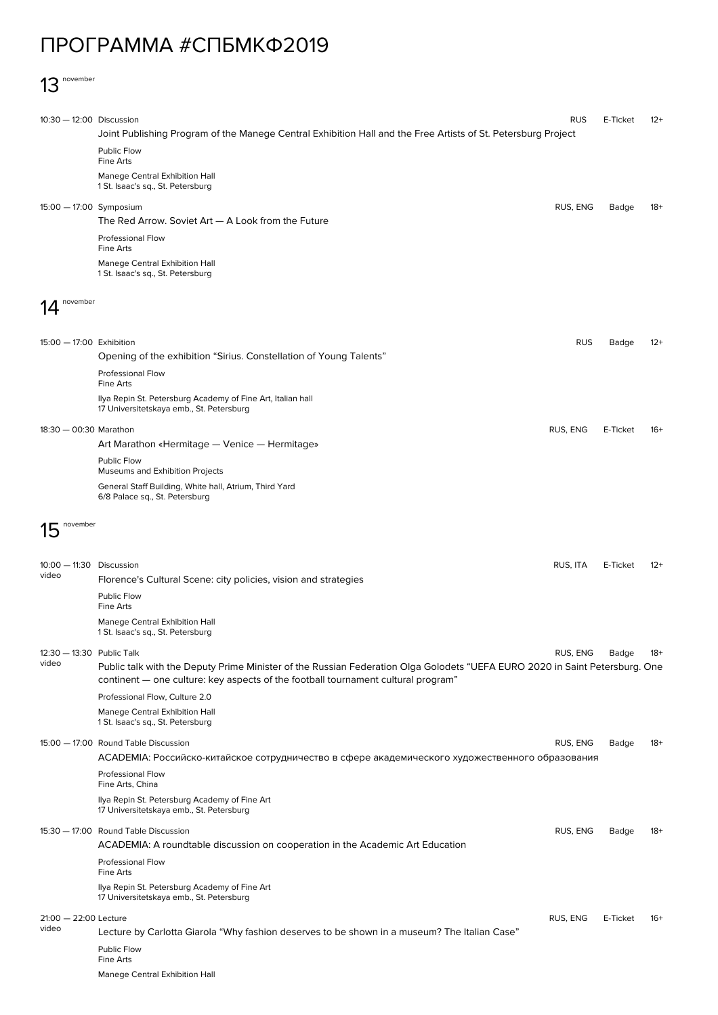## ПРОГРАММА #СПБМКФ2019

## 13 november

| 10:30 - 12:00 Discussion                                 |                                                                                                                                                                                                                  | <b>RUS</b> | E-Ticket | $12+$ |
|----------------------------------------------------------|------------------------------------------------------------------------------------------------------------------------------------------------------------------------------------------------------------------|------------|----------|-------|
|                                                          | Joint Publishing Program of the Manege Central Exhibition Hall and the Free Artists of St. Petersburg Project                                                                                                    |            |          |       |
|                                                          | Public Flow<br>Fine Arts                                                                                                                                                                                         |            |          |       |
|                                                          | Manege Central Exhibition Hall<br>1 St. Isaac's sq., St. Petersburg                                                                                                                                              |            |          |       |
| 15:00 - 17:00 Symposium                                  |                                                                                                                                                                                                                  | RUS, ENG   | Badge    | $18+$ |
|                                                          | The Red Arrow. Soviet $Art - A$ Look from the Future                                                                                                                                                             |            |          |       |
|                                                          | Professional Flow<br>Fine Arts                                                                                                                                                                                   |            |          |       |
|                                                          | Manege Central Exhibition Hall<br>1 St. Isaac's sq., St. Petersburg                                                                                                                                              |            |          |       |
| november                                                 |                                                                                                                                                                                                                  |            |          |       |
|                                                          |                                                                                                                                                                                                                  |            |          |       |
| 15:00 - 17:00 Exhibition                                 |                                                                                                                                                                                                                  | <b>RUS</b> | Badge    | $12+$ |
|                                                          | Opening of the exhibition "Sirius. Constellation of Young Talents"                                                                                                                                               |            |          |       |
|                                                          | <b>Professional Flow</b><br>Fine Arts                                                                                                                                                                            |            |          |       |
|                                                          | Ilya Repin St. Petersburg Academy of Fine Art, Italian hall<br>17 Universitetskaya emb., St. Petersburg                                                                                                          |            |          |       |
| 18:30 - 00:30 Marathon                                   |                                                                                                                                                                                                                  | RUS, ENG   | E-Ticket | $16+$ |
|                                                          | Art Marathon «Hermitage — Venice — Hermitage»                                                                                                                                                                    |            |          |       |
|                                                          | Public Flow<br>Museums and Exhibition Projects                                                                                                                                                                   |            |          |       |
|                                                          | General Staff Building, White hall, Atrium, Third Yard<br>6/8 Palace sq., St. Petersburg                                                                                                                         |            |          |       |
| november<br>15                                           |                                                                                                                                                                                                                  |            |          |       |
|                                                          |                                                                                                                                                                                                                  |            |          |       |
| 10:00 - 11:30 Discussion<br>video                        | Florence's Cultural Scene: city policies, vision and strategies                                                                                                                                                  | RUS, ITA   | E-Ticket | $12+$ |
|                                                          | Public Flow<br><b>Fine Arts</b>                                                                                                                                                                                  |            |          |       |
|                                                          | Manege Central Exhibition Hall<br>1 St. Isaac's sq., St. Petersburg                                                                                                                                              |            |          |       |
| 12:30 - 13:30 Public Talk<br>video                       |                                                                                                                                                                                                                  | RUS, ENG   | Badge    | 18+   |
|                                                          | Public talk with the Deputy Prime Minister of the Russian Federation Olga Golodets "UEFA EURO 2020 in Saint Petersburg. One<br>continent — one culture: key aspects of the football tournament cultural program" |            |          |       |
|                                                          | Professional Flow, Culture 2.0                                                                                                                                                                                   |            |          |       |
|                                                          | Manege Central Exhibition Hall<br>1 St. Isaac's sq., St. Petersburg                                                                                                                                              |            |          |       |
|                                                          | 15:00 - 17:00 Round Table Discussion                                                                                                                                                                             | RUS, ENG   | Badge    | 18+   |
|                                                          | АСАDEMIA: Российско-китайское сотрудничество в сфере академического художественного образования                                                                                                                  |            |          |       |
|                                                          | <b>Professional Flow</b><br>Fine Arts, China                                                                                                                                                                     |            |          |       |
|                                                          | Ilya Repin St. Petersburg Academy of Fine Art<br>17 Universitetskaya emb., St. Petersburg                                                                                                                        |            |          |       |
|                                                          | 15:30 - 17:00 Round Table Discussion                                                                                                                                                                             | RUS, ENG   | Badge    | 18+   |
|                                                          | ACADEMIA: A roundtable discussion on cooperation in the Academic Art Education                                                                                                                                   |            |          |       |
|                                                          | <b>Professional Flow</b><br>Fine Arts                                                                                                                                                                            |            |          |       |
|                                                          | Ilya Repin St. Petersburg Academy of Fine Art<br>17 Universitetskaya emb., St. Petersburg                                                                                                                        |            |          |       |
| $21:00 - 22:00$ Lecture<br>RUS, ENG<br>E-Ticket<br>$16+$ |                                                                                                                                                                                                                  |            |          |       |
| video                                                    | Lecture by Carlotta Giarola "Why fashion deserves to be shown in a museum? The Italian Case"                                                                                                                     |            |          |       |
|                                                          | Public Flow<br>Fine Arts                                                                                                                                                                                         |            |          |       |
|                                                          | Manege Central Exhibition Hall                                                                                                                                                                                   |            |          |       |